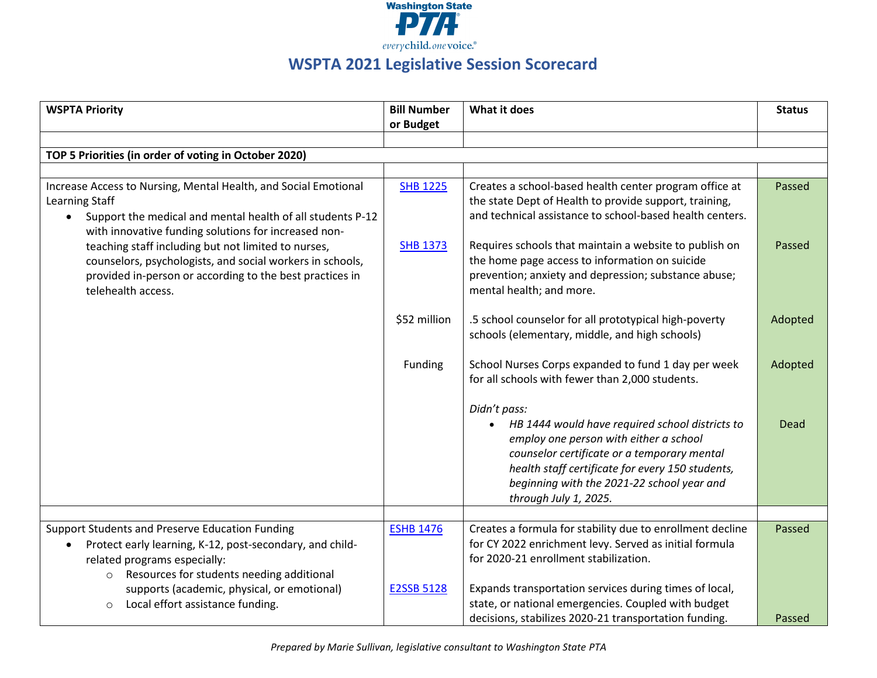

## **WSPTA 2021 Legislative Session Scorecard**

| <b>WSPTA Priority</b>                                                                                                                                                                                   | <b>Bill Number</b> | What it does                                                                                                                                                                                                                                                                        | <b>Status</b> |
|---------------------------------------------------------------------------------------------------------------------------------------------------------------------------------------------------------|--------------------|-------------------------------------------------------------------------------------------------------------------------------------------------------------------------------------------------------------------------------------------------------------------------------------|---------------|
|                                                                                                                                                                                                         | or Budget          |                                                                                                                                                                                                                                                                                     |               |
|                                                                                                                                                                                                         |                    |                                                                                                                                                                                                                                                                                     |               |
| TOP 5 Priorities (in order of voting in October 2020)                                                                                                                                                   |                    |                                                                                                                                                                                                                                                                                     |               |
|                                                                                                                                                                                                         |                    |                                                                                                                                                                                                                                                                                     |               |
| Increase Access to Nursing, Mental Health, and Social Emotional<br>Learning Staff<br>Support the medical and mental health of all students P-12<br>with innovative funding solutions for increased non- | <b>SHB 1225</b>    | Creates a school-based health center program office at<br>the state Dept of Health to provide support, training,<br>and technical assistance to school-based health centers.                                                                                                        | Passed        |
| teaching staff including but not limited to nurses,<br>counselors, psychologists, and social workers in schools,<br>provided in-person or according to the best practices in<br>telehealth access.      | <b>SHB 1373</b>    | Requires schools that maintain a website to publish on<br>the home page access to information on suicide<br>prevention; anxiety and depression; substance abuse;<br>mental health; and more.                                                                                        | Passed        |
|                                                                                                                                                                                                         | \$52 million       | .5 school counselor for all prototypical high-poverty<br>schools (elementary, middle, and high schools)                                                                                                                                                                             | Adopted       |
|                                                                                                                                                                                                         | Funding            | School Nurses Corps expanded to fund 1 day per week<br>for all schools with fewer than 2,000 students.                                                                                                                                                                              | Adopted       |
|                                                                                                                                                                                                         |                    | Didn't pass:<br>HB 1444 would have required school districts to<br>employ one person with either a school<br>counselor certificate or a temporary mental<br>health staff certificate for every 150 students,<br>beginning with the 2021-22 school year and<br>through July 1, 2025. | Dead          |
|                                                                                                                                                                                                         |                    |                                                                                                                                                                                                                                                                                     |               |
| Support Students and Preserve Education Funding<br>Protect early learning, K-12, post-secondary, and child-<br>related programs especially:<br>Resources for students needing additional<br>$\circ$     | <b>ESHB 1476</b>   | Creates a formula for stability due to enrollment decline<br>for CY 2022 enrichment levy. Served as initial formula<br>for 2020-21 enrollment stabilization.                                                                                                                        | Passed        |
| supports (academic, physical, or emotional)<br>Local effort assistance funding.<br>$\circ$                                                                                                              | <b>E2SSB 5128</b>  | Expands transportation services during times of local,<br>state, or national emergencies. Coupled with budget<br>decisions, stabilizes 2020-21 transportation funding.                                                                                                              | Passed        |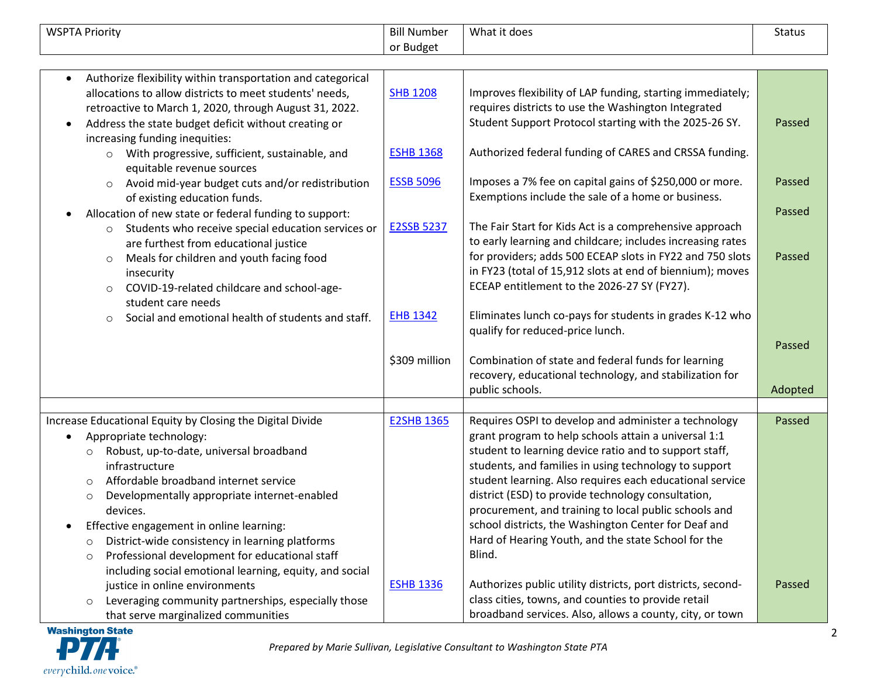| <b>WSPTA Priority</b>                                                                                                                                                                                                                                                                                                                                                                                                                                                                                                                  | <b>Bill Number</b>                                                        | What it does                                                                                                                                                                                                                                                                                                                                                                                                                                                                                                                                                           | <b>Status</b>                        |
|----------------------------------------------------------------------------------------------------------------------------------------------------------------------------------------------------------------------------------------------------------------------------------------------------------------------------------------------------------------------------------------------------------------------------------------------------------------------------------------------------------------------------------------|---------------------------------------------------------------------------|------------------------------------------------------------------------------------------------------------------------------------------------------------------------------------------------------------------------------------------------------------------------------------------------------------------------------------------------------------------------------------------------------------------------------------------------------------------------------------------------------------------------------------------------------------------------|--------------------------------------|
|                                                                                                                                                                                                                                                                                                                                                                                                                                                                                                                                        | or Budget                                                                 |                                                                                                                                                                                                                                                                                                                                                                                                                                                                                                                                                                        |                                      |
| Authorize flexibility within transportation and categorical<br>allocations to allow districts to meet students' needs,<br>retroactive to March 1, 2020, through August 31, 2022.<br>Address the state budget deficit without creating or<br>$\bullet$<br>increasing funding inequities:                                                                                                                                                                                                                                                | <b>SHB 1208</b>                                                           | Improves flexibility of LAP funding, starting immediately;<br>requires districts to use the Washington Integrated<br>Student Support Protocol starting with the 2025-26 SY.                                                                                                                                                                                                                                                                                                                                                                                            | Passed                               |
| o With progressive, sufficient, sustainable, and<br>equitable revenue sources                                                                                                                                                                                                                                                                                                                                                                                                                                                          | <b>ESHB 1368</b>                                                          | Authorized federal funding of CARES and CRSSA funding.                                                                                                                                                                                                                                                                                                                                                                                                                                                                                                                 |                                      |
| Avoid mid-year budget cuts and/or redistribution<br>of existing education funds.<br>Allocation of new state or federal funding to support:<br>Students who receive special education services or<br>$\circ$<br>are furthest from educational justice<br>Meals for children and youth facing food<br>$\circ$<br>insecurity<br>COVID-19-related childcare and school-age-<br>$\circ$<br>student care needs<br>Social and emotional health of students and staff.<br>$\circ$                                                              | <b>ESSB 5096</b><br><b>E2SSB 5237</b><br><b>EHB 1342</b><br>\$309 million | Imposes a 7% fee on capital gains of \$250,000 or more.<br>Exemptions include the sale of a home or business.<br>The Fair Start for Kids Act is a comprehensive approach<br>to early learning and childcare; includes increasing rates<br>for providers; adds 500 ECEAP slots in FY22 and 750 slots<br>in FY23 (total of 15,912 slots at end of biennium); moves<br>ECEAP entitlement to the 2026-27 SY (FY27).<br>Eliminates lunch co-pays for students in grades K-12 who<br>qualify for reduced-price lunch.<br>Combination of state and federal funds for learning | Passed<br>Passed<br>Passed<br>Passed |
|                                                                                                                                                                                                                                                                                                                                                                                                                                                                                                                                        |                                                                           | recovery, educational technology, and stabilization for<br>public schools.                                                                                                                                                                                                                                                                                                                                                                                                                                                                                             | Adopted                              |
|                                                                                                                                                                                                                                                                                                                                                                                                                                                                                                                                        |                                                                           |                                                                                                                                                                                                                                                                                                                                                                                                                                                                                                                                                                        |                                      |
| Increase Educational Equity by Closing the Digital Divide<br>Appropriate technology:<br>$\bullet$<br>Robust, up-to-date, universal broadband<br>$\circ$<br>infrastructure<br>Affordable broadband internet service<br>$\circ$<br>Developmentally appropriate internet-enabled<br>$\circ$<br>devices.<br>Effective engagement in online learning:<br>District-wide consistency in learning platforms<br>$\circ$<br>Professional development for educational staff<br>$\circ$<br>including social emotional learning, equity, and social | <b>E2SHB 1365</b>                                                         | Requires OSPI to develop and administer a technology<br>grant program to help schools attain a universal 1:1<br>student to learning device ratio and to support staff,<br>students, and families in using technology to support<br>student learning. Also requires each educational service<br>district (ESD) to provide technology consultation,<br>procurement, and training to local public schools and<br>school districts, the Washington Center for Deaf and<br>Hard of Hearing Youth, and the state School for the<br>Blind.                                    | Passed                               |
| justice in online environments<br>Leveraging community partnerships, especially those<br>$\circ$<br>that serve marginalized communities                                                                                                                                                                                                                                                                                                                                                                                                | <b>ESHB 1336</b>                                                          | Authorizes public utility districts, port districts, second-<br>class cities, towns, and counties to provide retail<br>broadband services. Also, allows a county, city, or town                                                                                                                                                                                                                                                                                                                                                                                        | Passed                               |

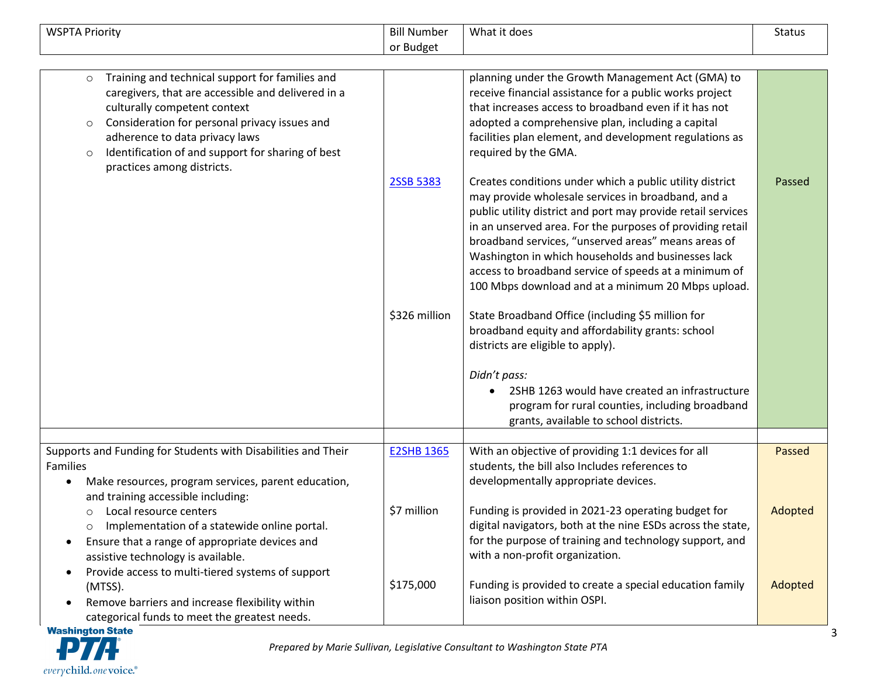| <b>WSPTA Priority</b>                                                                                                                                                                                                                                                                                          | <b>Bill Number</b>         | What it does                                                                                                                                                                                                                                                                                                                                                                                                                                                                                                                                                                                                           | <b>Status</b> |
|----------------------------------------------------------------------------------------------------------------------------------------------------------------------------------------------------------------------------------------------------------------------------------------------------------------|----------------------------|------------------------------------------------------------------------------------------------------------------------------------------------------------------------------------------------------------------------------------------------------------------------------------------------------------------------------------------------------------------------------------------------------------------------------------------------------------------------------------------------------------------------------------------------------------------------------------------------------------------------|---------------|
|                                                                                                                                                                                                                                                                                                                | or Budget                  |                                                                                                                                                                                                                                                                                                                                                                                                                                                                                                                                                                                                                        |               |
| Training and technical support for families and<br>$\circ$<br>caregivers, that are accessible and delivered in a<br>culturally competent context<br>Consideration for personal privacy issues and<br>$\circ$<br>adherence to data privacy laws<br>Identification of and support for sharing of best<br>$\circ$ |                            | planning under the Growth Management Act (GMA) to<br>receive financial assistance for a public works project<br>that increases access to broadband even if it has not<br>adopted a comprehensive plan, including a capital<br>facilities plan element, and development regulations as<br>required by the GMA.                                                                                                                                                                                                                                                                                                          |               |
| practices among districts.                                                                                                                                                                                                                                                                                     | 2SSB 5383<br>\$326 million | Creates conditions under which a public utility district<br>may provide wholesale services in broadband, and a<br>public utility district and port may provide retail services<br>in an unserved area. For the purposes of providing retail<br>broadband services, "unserved areas" means areas of<br>Washington in which households and businesses lack<br>access to broadband service of speeds at a minimum of<br>100 Mbps download and at a minimum 20 Mbps upload.<br>State Broadband Office (including \$5 million for<br>broadband equity and affordability grants: school<br>districts are eligible to apply). | Passed        |
|                                                                                                                                                                                                                                                                                                                |                            | Didn't pass:<br>2SHB 1263 would have created an infrastructure<br>program for rural counties, including broadband<br>grants, available to school districts.                                                                                                                                                                                                                                                                                                                                                                                                                                                            |               |
| Supports and Funding for Students with Disabilities and Their                                                                                                                                                                                                                                                  | <b>E2SHB 1365</b>          | With an objective of providing 1:1 devices for all                                                                                                                                                                                                                                                                                                                                                                                                                                                                                                                                                                     | Passed        |
| Families<br>Make resources, program services, parent education,<br>and training accessible including:                                                                                                                                                                                                          |                            | students, the bill also Includes references to<br>developmentally appropriate devices.                                                                                                                                                                                                                                                                                                                                                                                                                                                                                                                                 |               |
| Local resource centers<br>$\circ$<br>Implementation of a statewide online portal.<br>$\circ$<br>Ensure that a range of appropriate devices and<br>$\bullet$<br>assistive technology is available.<br>Provide access to multi-tiered systems of support                                                         | \$7 million                | Funding is provided in 2021-23 operating budget for<br>digital navigators, both at the nine ESDs across the state,<br>for the purpose of training and technology support, and<br>with a non-profit organization.                                                                                                                                                                                                                                                                                                                                                                                                       | Adopted       |
| (MTSS).<br>Remove barriers and increase flexibility within<br>categorical funds to meet the greatest needs.<br><b>Wachington State</b>                                                                                                                                                                         | \$175,000                  | Funding is provided to create a special education family<br>liaison position within OSPI.                                                                                                                                                                                                                                                                                                                                                                                                                                                                                                                              | Adopted       |

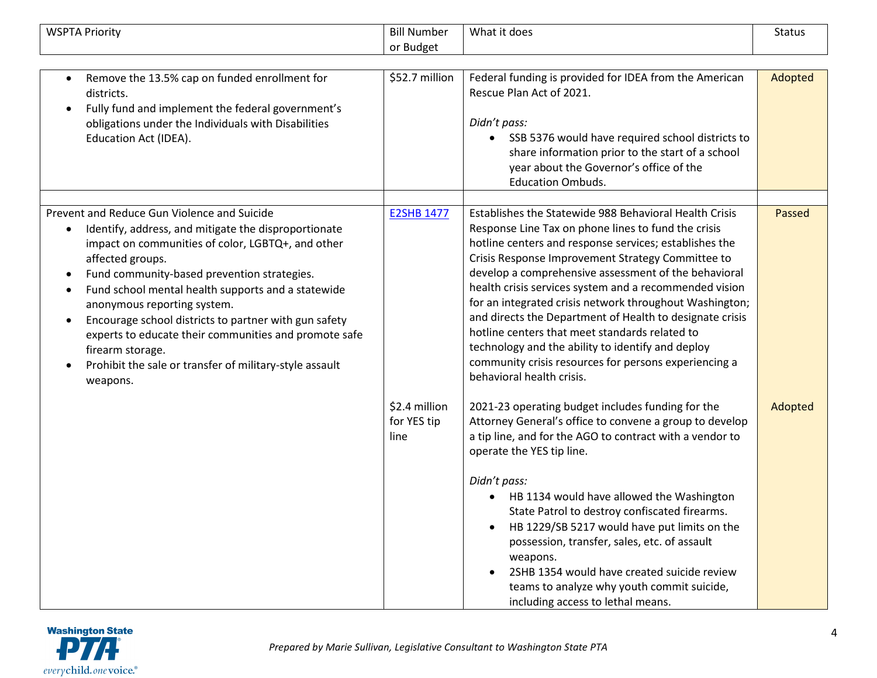| <b>WSPTA Priority</b>                                                                                                                                                                                                                                                                                                                                                                                                                                                                                                                                   | <b>Bill Number</b>                   | What it does                                                                                                                                                                                                                                                                                                                                                                                                                                                                                                                                                                                                                                                       | Status  |
|---------------------------------------------------------------------------------------------------------------------------------------------------------------------------------------------------------------------------------------------------------------------------------------------------------------------------------------------------------------------------------------------------------------------------------------------------------------------------------------------------------------------------------------------------------|--------------------------------------|--------------------------------------------------------------------------------------------------------------------------------------------------------------------------------------------------------------------------------------------------------------------------------------------------------------------------------------------------------------------------------------------------------------------------------------------------------------------------------------------------------------------------------------------------------------------------------------------------------------------------------------------------------------------|---------|
|                                                                                                                                                                                                                                                                                                                                                                                                                                                                                                                                                         | or Budget                            |                                                                                                                                                                                                                                                                                                                                                                                                                                                                                                                                                                                                                                                                    |         |
| Remove the 13.5% cap on funded enrollment for<br>$\bullet$<br>districts.<br>Fully fund and implement the federal government's<br>obligations under the Individuals with Disabilities<br>Education Act (IDEA).                                                                                                                                                                                                                                                                                                                                           | \$52.7 million                       | Federal funding is provided for IDEA from the American<br>Rescue Plan Act of 2021.<br>Didn't pass:<br>SSB 5376 would have required school districts to<br>$\bullet$<br>share information prior to the start of a school<br>year about the Governor's office of the<br><b>Education Ombuds.</b>                                                                                                                                                                                                                                                                                                                                                                     | Adopted |
| Prevent and Reduce Gun Violence and Suicide<br>Identify, address, and mitigate the disproportionate<br>impact on communities of color, LGBTQ+, and other<br>affected groups.<br>Fund community-based prevention strategies.<br>$\bullet$<br>Fund school mental health supports and a statewide<br>anonymous reporting system.<br>Encourage school districts to partner with gun safety<br>$\bullet$<br>experts to educate their communities and promote safe<br>firearm storage.<br>Prohibit the sale or transfer of military-style assault<br>weapons. | <b>E2SHB 1477</b>                    | Establishes the Statewide 988 Behavioral Health Crisis<br>Response Line Tax on phone lines to fund the crisis<br>hotline centers and response services; establishes the<br>Crisis Response Improvement Strategy Committee to<br>develop a comprehensive assessment of the behavioral<br>health crisis services system and a recommended vision<br>for an integrated crisis network throughout Washington;<br>and directs the Department of Health to designate crisis<br>hotline centers that meet standards related to<br>technology and the ability to identify and deploy<br>community crisis resources for persons experiencing a<br>behavioral health crisis. | Passed  |
|                                                                                                                                                                                                                                                                                                                                                                                                                                                                                                                                                         | \$2.4 million<br>for YES tip<br>line | 2021-23 operating budget includes funding for the<br>Attorney General's office to convene a group to develop<br>a tip line, and for the AGO to contract with a vendor to<br>operate the YES tip line.<br>Didn't pass:<br>HB 1134 would have allowed the Washington<br>State Patrol to destroy confiscated firearms.<br>HB 1229/SB 5217 would have put limits on the<br>possession, transfer, sales, etc. of assault<br>weapons.<br>2SHB 1354 would have created suicide review<br>teams to analyze why youth commit suicide,<br>including access to lethal means.                                                                                                  | Adopted |

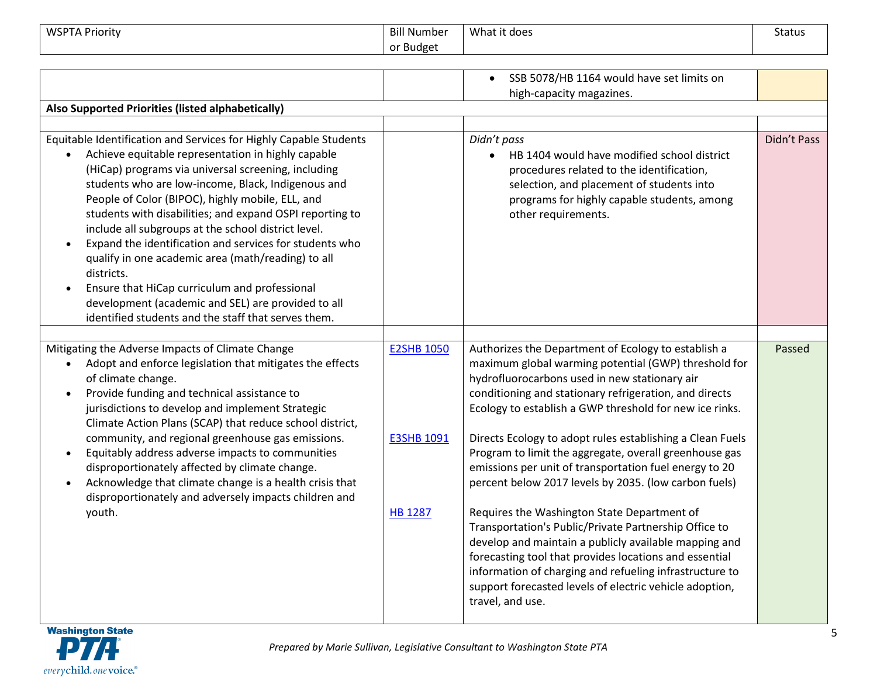| <b>WSPTA Priority</b>                                                                                                                                                                                                                                                                                                                                                                                                                                                                                                                                                                                                                                                                                    | <b>Bill Number</b><br>or Budget                          | What it does                                                                                                                                                                                                                                                                                                                                                                                                                                                                                                                                                                                                                                                                                                                                                                                                                                                                                     | <b>Status</b> |
|----------------------------------------------------------------------------------------------------------------------------------------------------------------------------------------------------------------------------------------------------------------------------------------------------------------------------------------------------------------------------------------------------------------------------------------------------------------------------------------------------------------------------------------------------------------------------------------------------------------------------------------------------------------------------------------------------------|----------------------------------------------------------|--------------------------------------------------------------------------------------------------------------------------------------------------------------------------------------------------------------------------------------------------------------------------------------------------------------------------------------------------------------------------------------------------------------------------------------------------------------------------------------------------------------------------------------------------------------------------------------------------------------------------------------------------------------------------------------------------------------------------------------------------------------------------------------------------------------------------------------------------------------------------------------------------|---------------|
| Also Supported Priorities (listed alphabetically)                                                                                                                                                                                                                                                                                                                                                                                                                                                                                                                                                                                                                                                        |                                                          | SSB 5078/HB 1164 would have set limits on<br>high-capacity magazines.                                                                                                                                                                                                                                                                                                                                                                                                                                                                                                                                                                                                                                                                                                                                                                                                                            |               |
| Equitable Identification and Services for Highly Capable Students<br>Achieve equitable representation in highly capable<br>(HiCap) programs via universal screening, including<br>students who are low-income, Black, Indigenous and<br>People of Color (BIPOC), highly mobile, ELL, and<br>students with disabilities; and expand OSPI reporting to<br>include all subgroups at the school district level.<br>Expand the identification and services for students who<br>qualify in one academic area (math/reading) to all<br>districts.<br>Ensure that HiCap curriculum and professional<br>development (academic and SEL) are provided to all<br>identified students and the staff that serves them. |                                                          | Didn't pass<br>HB 1404 would have modified school district<br>procedures related to the identification,<br>selection, and placement of students into<br>programs for highly capable students, among<br>other requirements.                                                                                                                                                                                                                                                                                                                                                                                                                                                                                                                                                                                                                                                                       | Didn't Pass   |
| Mitigating the Adverse Impacts of Climate Change<br>Adopt and enforce legislation that mitigates the effects<br>$\bullet$<br>of climate change.<br>Provide funding and technical assistance to<br>jurisdictions to develop and implement Strategic<br>Climate Action Plans (SCAP) that reduce school district,<br>community, and regional greenhouse gas emissions.<br>Equitably address adverse impacts to communities<br>disproportionately affected by climate change.<br>Acknowledge that climate change is a health crisis that<br>disproportionately and adversely impacts children and<br>youth.                                                                                                  | <b>E2SHB 1050</b><br><b>E3SHB 1091</b><br><b>HB 1287</b> | Authorizes the Department of Ecology to establish a<br>maximum global warming potential (GWP) threshold for<br>hydrofluorocarbons used in new stationary air<br>conditioning and stationary refrigeration, and directs<br>Ecology to establish a GWP threshold for new ice rinks.<br>Directs Ecology to adopt rules establishing a Clean Fuels<br>Program to limit the aggregate, overall greenhouse gas<br>emissions per unit of transportation fuel energy to 20<br>percent below 2017 levels by 2035. (low carbon fuels)<br>Requires the Washington State Department of<br>Transportation's Public/Private Partnership Office to<br>develop and maintain a publicly available mapping and<br>forecasting tool that provides locations and essential<br>information of charging and refueling infrastructure to<br>support forecasted levels of electric vehicle adoption,<br>travel, and use. | Passed        |

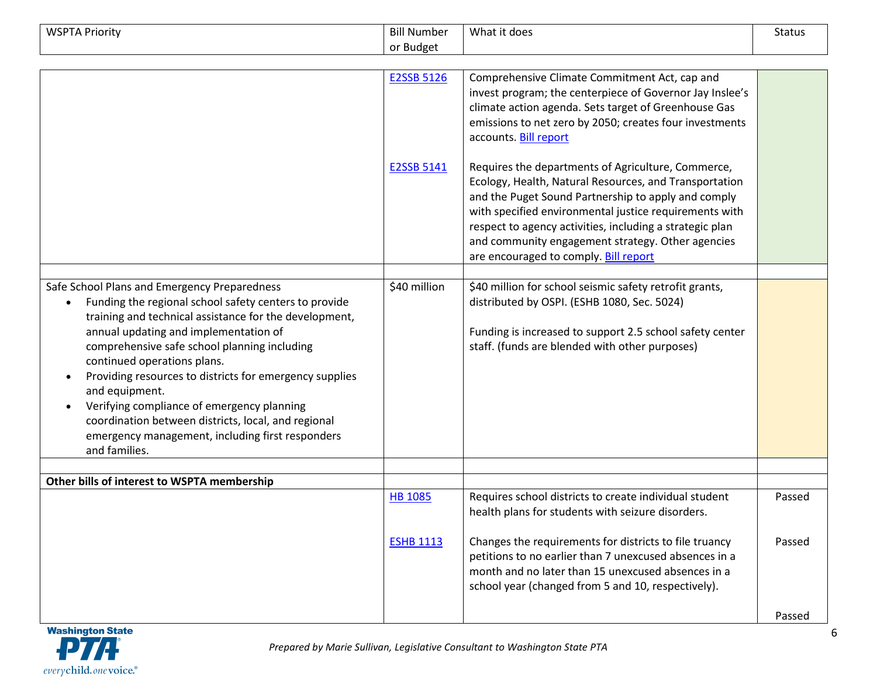| <b>WSPTA Priority</b>                                                                                                                                                                                                                                                                                                                                                                                                                                                                                                                          | <b>Bill Number</b> | What it does                                                                                                                                                                                                                                                                                                                                                                            | <b>Status</b> |
|------------------------------------------------------------------------------------------------------------------------------------------------------------------------------------------------------------------------------------------------------------------------------------------------------------------------------------------------------------------------------------------------------------------------------------------------------------------------------------------------------------------------------------------------|--------------------|-----------------------------------------------------------------------------------------------------------------------------------------------------------------------------------------------------------------------------------------------------------------------------------------------------------------------------------------------------------------------------------------|---------------|
|                                                                                                                                                                                                                                                                                                                                                                                                                                                                                                                                                | or Budget          |                                                                                                                                                                                                                                                                                                                                                                                         |               |
|                                                                                                                                                                                                                                                                                                                                                                                                                                                                                                                                                | <b>E2SSB 5126</b>  | Comprehensive Climate Commitment Act, cap and<br>invest program; the centerpiece of Governor Jay Inslee's<br>climate action agenda. Sets target of Greenhouse Gas<br>emissions to net zero by 2050; creates four investments<br>accounts. Bill report                                                                                                                                   |               |
|                                                                                                                                                                                                                                                                                                                                                                                                                                                                                                                                                | E2SSB 5141         | Requires the departments of Agriculture, Commerce,<br>Ecology, Health, Natural Resources, and Transportation<br>and the Puget Sound Partnership to apply and comply<br>with specified environmental justice requirements with<br>respect to agency activities, including a strategic plan<br>and community engagement strategy. Other agencies<br>are encouraged to comply. Bill report |               |
|                                                                                                                                                                                                                                                                                                                                                                                                                                                                                                                                                |                    |                                                                                                                                                                                                                                                                                                                                                                                         |               |
| Safe School Plans and Emergency Preparedness<br>Funding the regional school safety centers to provide<br>training and technical assistance for the development,<br>annual updating and implementation of<br>comprehensive safe school planning including<br>continued operations plans.<br>Providing resources to districts for emergency supplies<br>and equipment.<br>Verifying compliance of emergency planning<br>coordination between districts, local, and regional<br>emergency management, including first responders<br>and families. | \$40 million       | \$40 million for school seismic safety retrofit grants,<br>distributed by OSPI. (ESHB 1080, Sec. 5024)<br>Funding is increased to support 2.5 school safety center<br>staff. (funds are blended with other purposes)                                                                                                                                                                    |               |
| Other bills of interest to WSPTA membership                                                                                                                                                                                                                                                                                                                                                                                                                                                                                                    |                    |                                                                                                                                                                                                                                                                                                                                                                                         |               |
|                                                                                                                                                                                                                                                                                                                                                                                                                                                                                                                                                | <b>HB 1085</b>     | Requires school districts to create individual student<br>health plans for students with seizure disorders.                                                                                                                                                                                                                                                                             | Passed        |
|                                                                                                                                                                                                                                                                                                                                                                                                                                                                                                                                                | <b>ESHB 1113</b>   | Changes the requirements for districts to file truancy<br>petitions to no earlier than 7 unexcused absences in a<br>month and no later than 15 unexcused absences in a<br>school year (changed from 5 and 10, respectively).                                                                                                                                                            | Passed        |
|                                                                                                                                                                                                                                                                                                                                                                                                                                                                                                                                                |                    |                                                                                                                                                                                                                                                                                                                                                                                         | Passed        |

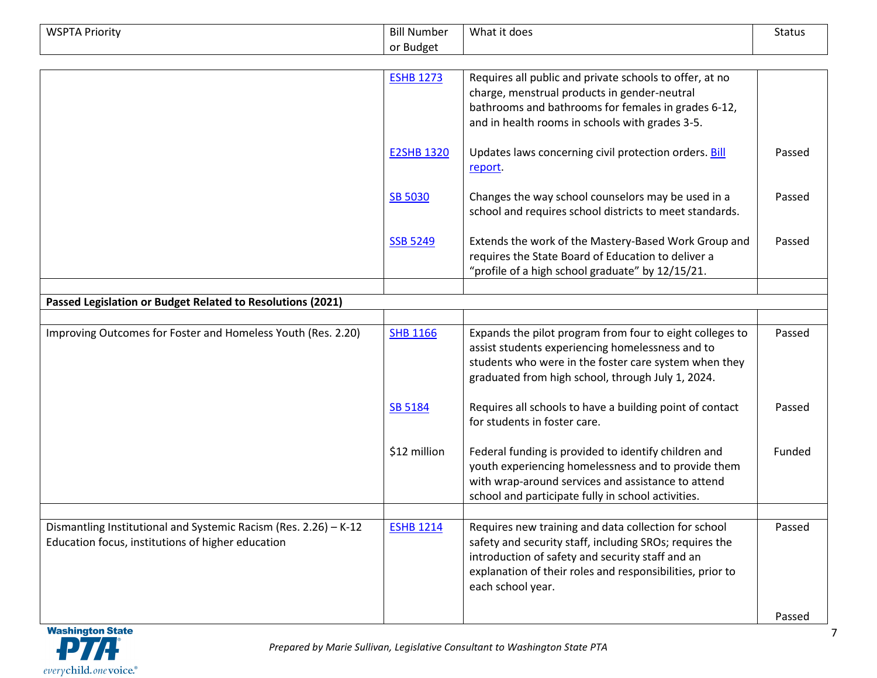| <b>WSPTA Priority</b>                                            | <b>Bill Number</b> | What it does                                                     | Status |
|------------------------------------------------------------------|--------------------|------------------------------------------------------------------|--------|
|                                                                  | or Budget          |                                                                  |        |
|                                                                  |                    |                                                                  |        |
|                                                                  | <b>ESHB 1273</b>   | Requires all public and private schools to offer, at no          |        |
|                                                                  |                    | charge, menstrual products in gender-neutral                     |        |
|                                                                  |                    | bathrooms and bathrooms for females in grades 6-12,              |        |
|                                                                  |                    | and in health rooms in schools with grades 3-5.                  |        |
|                                                                  | <b>E2SHB 1320</b>  | Updates laws concerning civil protection orders. Bill<br>report. | Passed |
|                                                                  | <b>SB 5030</b>     | Changes the way school counselors may be used in a               | Passed |
|                                                                  |                    | school and requires school districts to meet standards.          |        |
|                                                                  | <b>SSB 5249</b>    | Extends the work of the Mastery-Based Work Group and             | Passed |
|                                                                  |                    | requires the State Board of Education to deliver a               |        |
|                                                                  |                    | "profile of a high school graduate" by 12/15/21.                 |        |
|                                                                  |                    |                                                                  |        |
| Passed Legislation or Budget Related to Resolutions (2021)       |                    |                                                                  |        |
|                                                                  |                    |                                                                  |        |
| Improving Outcomes for Foster and Homeless Youth (Res. 2.20)     | <b>SHB 1166</b>    | Expands the pilot program from four to eight colleges to         | Passed |
|                                                                  |                    | assist students experiencing homelessness and to                 |        |
|                                                                  |                    | students who were in the foster care system when they            |        |
|                                                                  |                    | graduated from high school, through July 1, 2024.                |        |
|                                                                  | SB 5184            | Requires all schools to have a building point of contact         | Passed |
|                                                                  |                    | for students in foster care.                                     |        |
|                                                                  | \$12 million       | Federal funding is provided to identify children and             | Funded |
|                                                                  |                    | youth experiencing homelessness and to provide them              |        |
|                                                                  |                    | with wrap-around services and assistance to attend               |        |
|                                                                  |                    | school and participate fully in school activities.               |        |
|                                                                  |                    |                                                                  |        |
| Dismantling Institutional and Systemic Racism (Res. 2.26) - K-12 | <b>ESHB 1214</b>   | Requires new training and data collection for school             | Passed |
| Education focus, institutions of higher education                |                    | safety and security staff, including SROs; requires the          |        |
|                                                                  |                    | introduction of safety and security staff and an                 |        |
|                                                                  |                    | explanation of their roles and responsibilities, prior to        |        |
|                                                                  |                    | each school year.                                                |        |
|                                                                  |                    |                                                                  | Passed |
|                                                                  |                    |                                                                  |        |

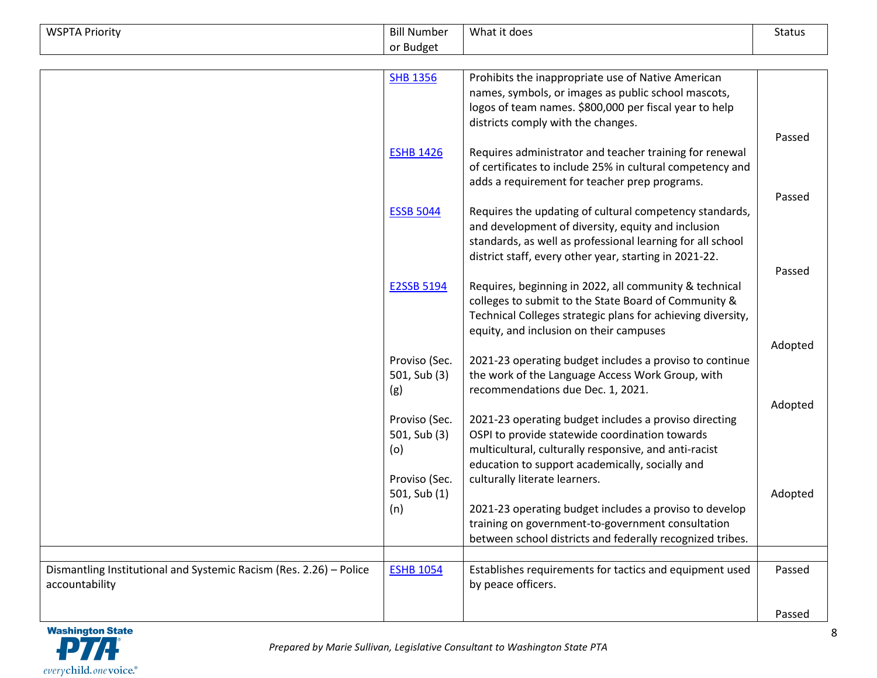| <b>WSPTA Priority</b>                                              | <b>Bill Number</b> | What it does                                                | <b>Status</b> |
|--------------------------------------------------------------------|--------------------|-------------------------------------------------------------|---------------|
|                                                                    | or Budget          |                                                             |               |
|                                                                    |                    |                                                             |               |
|                                                                    | <b>SHB 1356</b>    | Prohibits the inappropriate use of Native American          |               |
|                                                                    |                    | names, symbols, or images as public school mascots,         |               |
|                                                                    |                    | logos of team names. \$800,000 per fiscal year to help      |               |
|                                                                    |                    | districts comply with the changes.                          |               |
|                                                                    |                    |                                                             | Passed        |
|                                                                    | <b>ESHB 1426</b>   | Requires administrator and teacher training for renewal     |               |
|                                                                    |                    | of certificates to include 25% in cultural competency and   |               |
|                                                                    |                    | adds a requirement for teacher prep programs.               |               |
|                                                                    |                    |                                                             | Passed        |
|                                                                    | <b>ESSB 5044</b>   | Requires the updating of cultural competency standards,     |               |
|                                                                    |                    | and development of diversity, equity and inclusion          |               |
|                                                                    |                    | standards, as well as professional learning for all school  |               |
|                                                                    |                    | district staff, every other year, starting in 2021-22.      |               |
|                                                                    |                    |                                                             | Passed        |
|                                                                    | E2SSB 5194         | Requires, beginning in 2022, all community & technical      |               |
|                                                                    |                    | colleges to submit to the State Board of Community &        |               |
|                                                                    |                    | Technical Colleges strategic plans for achieving diversity, |               |
|                                                                    |                    | equity, and inclusion on their campuses                     |               |
|                                                                    |                    |                                                             | Adopted       |
|                                                                    | Proviso (Sec.      | 2021-23 operating budget includes a proviso to continue     |               |
|                                                                    | 501, Sub (3)       | the work of the Language Access Work Group, with            |               |
|                                                                    | (g)                | recommendations due Dec. 1, 2021.                           |               |
|                                                                    |                    |                                                             | Adopted       |
|                                                                    | Proviso (Sec.      | 2021-23 operating budget includes a proviso directing       |               |
|                                                                    | 501, Sub (3)       | OSPI to provide statewide coordination towards              |               |
|                                                                    | (o)                | multicultural, culturally responsive, and anti-racist       |               |
|                                                                    |                    | education to support academically, socially and             |               |
|                                                                    | Proviso (Sec.      | culturally literate learners.                               |               |
|                                                                    | 501, Sub (1)       |                                                             | Adopted       |
|                                                                    | (n)                | 2021-23 operating budget includes a proviso to develop      |               |
|                                                                    |                    | training on government-to-government consultation           |               |
|                                                                    |                    | between school districts and federally recognized tribes.   |               |
|                                                                    |                    |                                                             |               |
| Dismantling Institutional and Systemic Racism (Res. 2.26) - Police | <b>ESHB 1054</b>   | Establishes requirements for tactics and equipment used     | Passed        |
| accountability                                                     |                    | by peace officers.                                          |               |
|                                                                    |                    |                                                             |               |
|                                                                    |                    |                                                             | Passed        |

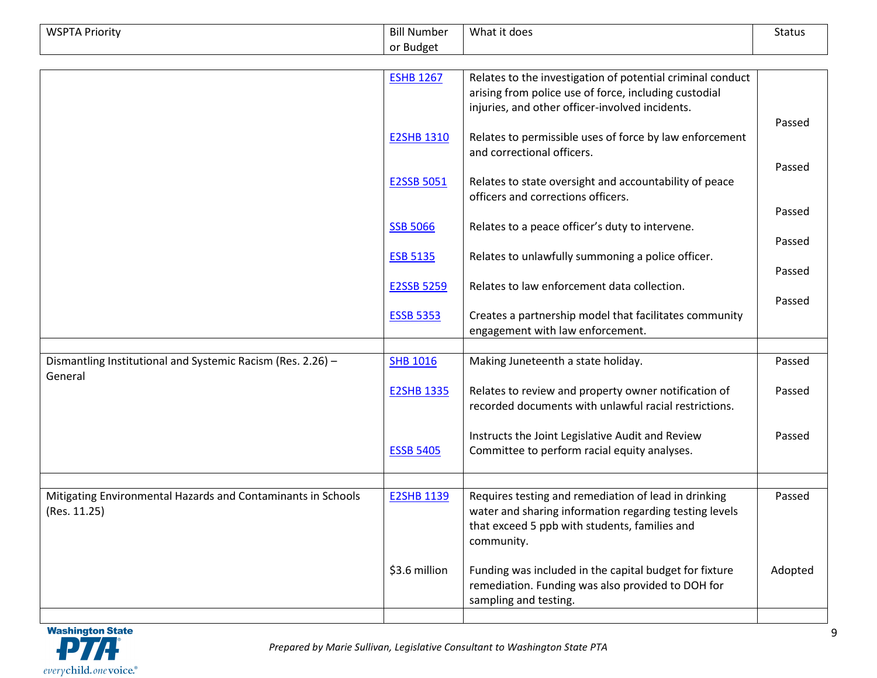| <b>WSPTA Priority</b>                                                  | <b>Bill Number</b> | What it does                                                                                 | <b>Status</b> |
|------------------------------------------------------------------------|--------------------|----------------------------------------------------------------------------------------------|---------------|
|                                                                        | or Budget          |                                                                                              |               |
|                                                                        |                    |                                                                                              |               |
|                                                                        | <b>ESHB 1267</b>   | Relates to the investigation of potential criminal conduct                                   |               |
|                                                                        |                    | arising from police use of force, including custodial                                        |               |
|                                                                        |                    | injuries, and other officer-involved incidents.                                              |               |
|                                                                        |                    |                                                                                              | Passed        |
|                                                                        | <b>E2SHB 1310</b>  | Relates to permissible uses of force by law enforcement<br>and correctional officers.        |               |
|                                                                        |                    |                                                                                              | Passed        |
|                                                                        | <b>E2SSB 5051</b>  | Relates to state oversight and accountability of peace<br>officers and corrections officers. |               |
|                                                                        |                    |                                                                                              | Passed        |
|                                                                        | <b>SSB 5066</b>    | Relates to a peace officer's duty to intervene.                                              |               |
|                                                                        |                    |                                                                                              | Passed        |
|                                                                        | <b>ESB 5135</b>    | Relates to unlawfully summoning a police officer.                                            |               |
|                                                                        |                    |                                                                                              | Passed        |
|                                                                        | <b>E2SSB 5259</b>  | Relates to law enforcement data collection.                                                  |               |
|                                                                        |                    |                                                                                              | Passed        |
|                                                                        | <b>ESSB 5353</b>   | Creates a partnership model that facilitates community                                       |               |
|                                                                        |                    | engagement with law enforcement.                                                             |               |
|                                                                        |                    |                                                                                              |               |
| Dismantling Institutional and Systemic Racism (Res. 2.26) -<br>General | <b>SHB 1016</b>    | Making Juneteenth a state holiday.                                                           | Passed        |
|                                                                        | <b>E2SHB 1335</b>  | Relates to review and property owner notification of                                         | Passed        |
|                                                                        |                    | recorded documents with unlawful racial restrictions.                                        |               |
|                                                                        |                    |                                                                                              |               |
|                                                                        |                    | Instructs the Joint Legislative Audit and Review                                             | Passed        |
|                                                                        | <b>ESSB 5405</b>   | Committee to perform racial equity analyses.                                                 |               |
|                                                                        |                    |                                                                                              |               |
| Mitigating Environmental Hazards and Contaminants in Schools           | <b>E2SHB 1139</b>  | Requires testing and remediation of lead in drinking                                         | Passed        |
| (Res. 11.25)                                                           |                    | water and sharing information regarding testing levels                                       |               |
|                                                                        |                    | that exceed 5 ppb with students, families and                                                |               |
|                                                                        |                    | community.                                                                                   |               |
|                                                                        |                    |                                                                                              |               |
|                                                                        | \$3.6 million      | Funding was included in the capital budget for fixture                                       | Adopted       |
|                                                                        |                    | remediation. Funding was also provided to DOH for                                            |               |
|                                                                        |                    | sampling and testing.                                                                        |               |
|                                                                        |                    |                                                                                              |               |

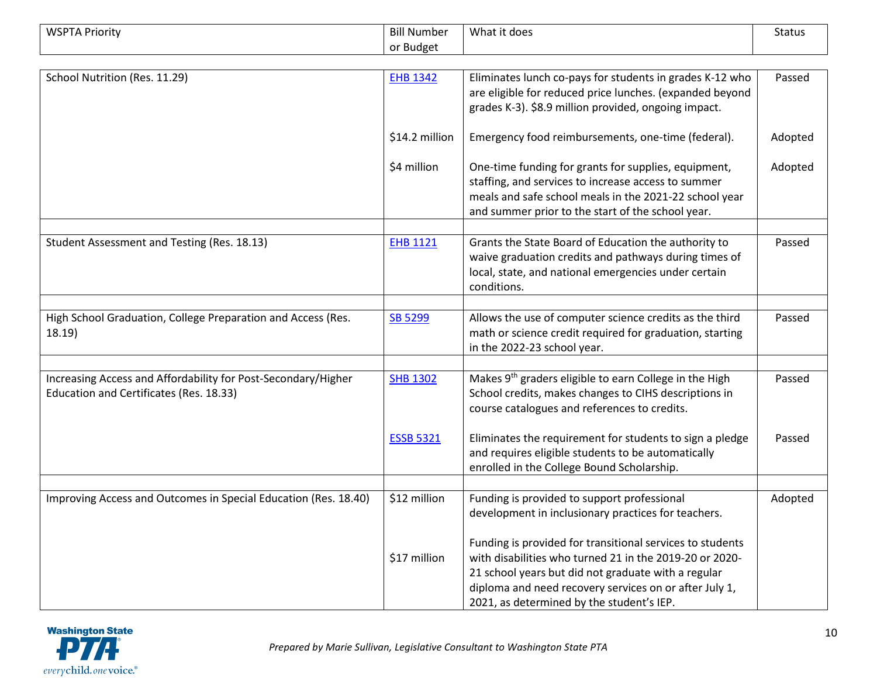| <b>WSPTA Priority</b>                                                                                    | <b>Bill Number</b> | What it does                                                                                                                                                                                                                                                                       | <b>Status</b> |
|----------------------------------------------------------------------------------------------------------|--------------------|------------------------------------------------------------------------------------------------------------------------------------------------------------------------------------------------------------------------------------------------------------------------------------|---------------|
|                                                                                                          | or Budget          |                                                                                                                                                                                                                                                                                    |               |
|                                                                                                          |                    |                                                                                                                                                                                                                                                                                    |               |
| School Nutrition (Res. 11.29)                                                                            | <b>EHB 1342</b>    | Eliminates lunch co-pays for students in grades K-12 who<br>are eligible for reduced price lunches. (expanded beyond<br>grades K-3). \$8.9 million provided, ongoing impact.                                                                                                       | Passed        |
|                                                                                                          | \$14.2 million     | Emergency food reimbursements, one-time (federal).                                                                                                                                                                                                                                 | Adopted       |
|                                                                                                          | \$4 million        | One-time funding for grants for supplies, equipment,<br>staffing, and services to increase access to summer<br>meals and safe school meals in the 2021-22 school year<br>and summer prior to the start of the school year.                                                         | Adopted       |
| Student Assessment and Testing (Res. 18.13)                                                              | <b>EHB 1121</b>    | Grants the State Board of Education the authority to<br>waive graduation credits and pathways during times of<br>local, state, and national emergencies under certain<br>conditions.                                                                                               | Passed        |
|                                                                                                          |                    |                                                                                                                                                                                                                                                                                    |               |
| High School Graduation, College Preparation and Access (Res.<br>18.19)                                   | SB 5299            | Allows the use of computer science credits as the third<br>math or science credit required for graduation, starting<br>in the 2022-23 school year.                                                                                                                                 | Passed        |
|                                                                                                          |                    |                                                                                                                                                                                                                                                                                    |               |
| Increasing Access and Affordability for Post-Secondary/Higher<br>Education and Certificates (Res. 18.33) | <b>SHB 1302</b>    | Makes 9 <sup>th</sup> graders eligible to earn College in the High<br>School credits, makes changes to CIHS descriptions in<br>course catalogues and references to credits.                                                                                                        | Passed        |
|                                                                                                          | <b>ESSB 5321</b>   | Eliminates the requirement for students to sign a pledge<br>and requires eligible students to be automatically<br>enrolled in the College Bound Scholarship.                                                                                                                       | Passed        |
|                                                                                                          |                    |                                                                                                                                                                                                                                                                                    |               |
| Improving Access and Outcomes in Special Education (Res. 18.40)                                          | \$12 million       | Funding is provided to support professional<br>development in inclusionary practices for teachers.                                                                                                                                                                                 | Adopted       |
|                                                                                                          | \$17 million       | Funding is provided for transitional services to students<br>with disabilities who turned 21 in the 2019-20 or 2020-<br>21 school years but did not graduate with a regular<br>diploma and need recovery services on or after July 1,<br>2021, as determined by the student's IEP. |               |